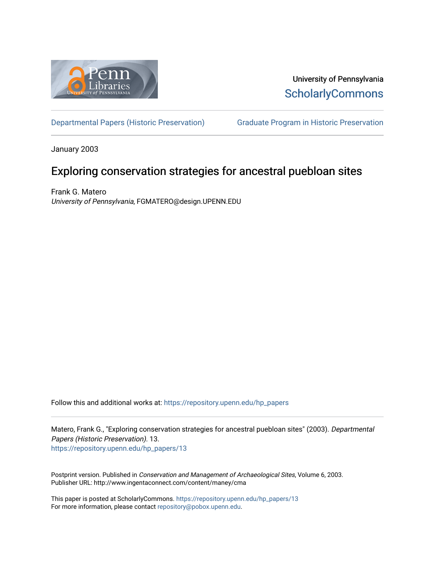

University of Pennsylvania **ScholarlyCommons** 

[Departmental Papers \(Historic Preservation\)](https://repository.upenn.edu/hp_papers) [Graduate Program in Historic Preservation](https://repository.upenn.edu/hist_pres) 

January 2003

# Exploring conservation strategies for ancestral puebloan sites

Frank G. Matero University of Pennsylvania, FGMATERO@design.UPENN.EDU

Follow this and additional works at: [https://repository.upenn.edu/hp\\_papers](https://repository.upenn.edu/hp_papers?utm_source=repository.upenn.edu%2Fhp_papers%2F13&utm_medium=PDF&utm_campaign=PDFCoverPages) 

Matero, Frank G., "Exploring conservation strategies for ancestral puebloan sites" (2003). Departmental Papers (Historic Preservation). 13. [https://repository.upenn.edu/hp\\_papers/13](https://repository.upenn.edu/hp_papers/13?utm_source=repository.upenn.edu%2Fhp_papers%2F13&utm_medium=PDF&utm_campaign=PDFCoverPages)

Postprint version. Published in Conservation and Management of Archaeological Sites, Volume 6, 2003. Publisher URL: http://www.ingentaconnect.com/content/maney/cma

This paper is posted at ScholarlyCommons. [https://repository.upenn.edu/hp\\_papers/13](https://repository.upenn.edu/hp_papers/13) For more information, please contact [repository@pobox.upenn.edu.](mailto:repository@pobox.upenn.edu)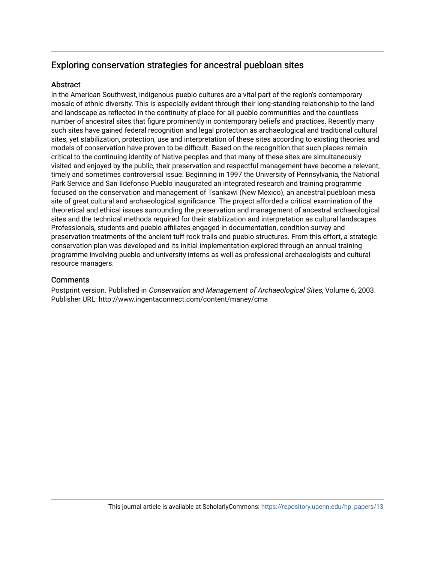# Exploring conservation strategies for ancestral puebloan sites

# **Abstract**

In the American Southwest, indigenous pueblo cultures are a vital part of the region's contemporary mosaic of ethnic diversity. This is especially evident through their long-standing relationship to the land and landscape as reflected in the continuity of place for all pueblo communities and the countless number of ancestral sites that figure prominently in contemporary beliefs and practices. Recently many such sites have gained federal recognition and legal protection as archaeological and traditional cultural sites, yet stabilization, protection, use and interpretation of these sites according to existing theories and models of conservation have proven to be difficult. Based on the recognition that such places remain critical to the continuing identity of Native peoples and that many of these sites are simultaneously visited and enjoyed by the public, their preservation and respectful management have become a relevant, timely and sometimes controversial issue. Beginning in 1997 the University of Pennsylvania, the National Park Service and San Ildefonso Pueblo inaugurated an integrated research and training programme focused on the conservation and management of Tsankawi (New Mexico), an ancestral puebloan mesa site of great cultural and archaeological significance. The project afforded a critical examination of the theoretical and ethical issues surrounding the preservation and management of ancestral archaeological sites and the technical methods required for their stabilization and interpretation as cultural landscapes. Professionals, students and pueblo affiliates engaged in documentation, condition survey and preservation treatments of the ancient tuff rock trails and pueblo structures. From this effort, a strategic conservation plan was developed and its initial implementation explored through an annual training programme involving pueblo and university interns as well as professional archaeologists and cultural resource managers.

## **Comments**

Postprint version. Published in Conservation and Management of Archaeological Sites, Volume 6, 2003. Publisher URL: http://www.ingentaconnect.com/content/maney/cma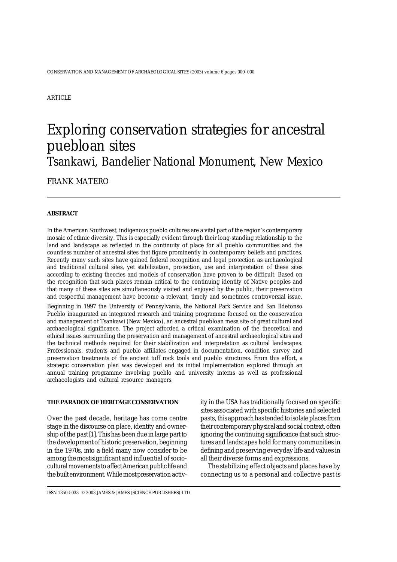ARTICLE

# Exploring conservation strategies for ancestral puebloan sites Tsankawi, Bandelier National Monument, New Mexico

FRANK MATERO

#### **ABSTRACT**

In the American Southwest, indigenous pueblo cultures are a vital part of the region's contemporary mosaic of ethnic diversity. This is especially evident through their long-standing relationship to the land and landscape as reflected in the continuity of place for all pueblo communities and the countless number of ancestral sites that figure prominently in contemporary beliefs and practices. Recently many such sites have gained federal recognition and legal protection as archaeological and traditional cultural sites, yet stabilization, protection, use and interpretation of these sites according to existing theories and models of conservation have proven to be difficult. Based on the recognition that such places remain critical to the continuing identity of Native peoples and that many of these sites are simultaneously visited and enjoyed by the public, their preservation and respectful management have become a relevant, timely and sometimes controversial issue.

Beginning in 1997 the University of Pennsylvania, the National Park Service and San Ildefonso Pueblo inaugurated an integrated research and training programme focused on the conservation and management of Tsankawi (New Mexico), an ancestral puebloan mesa site of great cultural and archaeological significance. The project afforded a critical examination of the theoretical and ethical issues surrounding the preservation and management of ancestral archaeological sites and the technical methods required for their stabilization and interpretation as cultural landscapes. Professionals, students and pueblo affiliates engaged in documentation, condition survey and preservation treatments of the ancient tuff rock trails and pueblo structures. From this effort, a strategic conservation plan was developed and its initial implementation explored through an annual training programme involving pueblo and university interns as well as professional archaeologists and cultural resource managers.

#### **THE PARADOX OF HERITAGE CONSERVATION**

Over the past decade, *heritage* has come centre stage in the discourse on place, identity and ownership of the past [1]. This has been due in large part to the development of historic preservation, beginning in the 1970s, into a field many now consider to be among the most significant and influential of sociocultural movements to affect American public life and the built environment. While most preservation activity in the USA has traditionally focused on specific sites associated with specific histories and selected pasts, this approach has tended to isolate places from their contemporary physical and social context, often ignoring the continuing significance that such structures and landscapes hold for many communities in defining and preserving everyday life and values in all their diverse forms and expressions.

The stabilizing effect objects and places have by connecting us to a personal and collective past is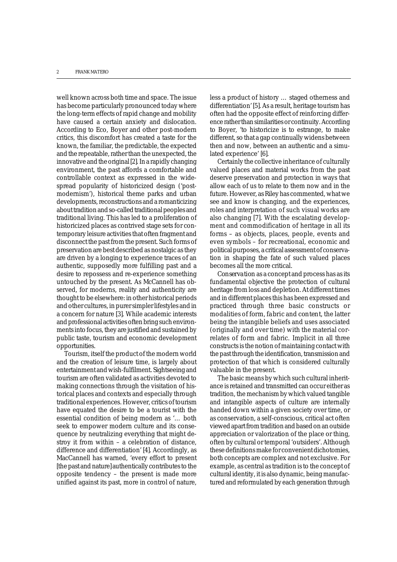well known across both time and space. The issue has become particularly pronounced today where the long-term effects of rapid change and mobility have caused a certain anxiety and dislocation. According to Eco, Boyer and other post-modern critics, this discomfort has created a taste for the known, the familiar, the predictable, the expected and the repeatable, rather than the unexpected, the innovative and the original [2]. In a rapidly changing environment, the past affords a comfortable and controllable context as expressed in the widespread popularity of historicized design ('postmodernism'), historical theme parks and urban developments, reconstructions and a romanticizing about tradition and so-called traditional peoples and traditional living. This has led to a proliferation of historicized places as contrived stage sets for contemporary leisure activities that often fragment and disconnect the past from the present. Such forms of preservation are best described as nostalgic as they are driven by a longing to experience traces of an authentic, supposedly more fulfilling past and a desire to repossess and re-experience something untouched by the present. As McCannell has observed, for moderns, reality and authenticity are thought to be elsewhere: in other historical periods and other cultures, in purer simpler lifestyles and in a concern for nature [3]. While academic interests and professional activities often bring such environments into focus, they are justified and sustained by public taste, tourism and economic development opportunities.

Tourism, itself the product of the modern world and the creation of leisure time, is largely about entertainment and wish-fulfilment. Sightseeing and tourism are often validated as activities devoted to making connections through the visitation of historical places and contexts and especially through traditional experiences. However, critics of tourism have equated the desire to be a tourist with the essential condition of being modern as '… both seek to empower modern culture and its consequence by neutralizing everything that might destroy it from within – a celebration of distance, difference and differentiation' [4]. Accordingly, as MacCannell has warned, 'every effort to present [the past and nature] authentically contributes to the opposite tendency – the present is made more unified against its past, more in control of nature, less a product of history … staged otherness and differentiation' [5]. As a result, heritage tourism has often had the opposite effect of reinforcing difference rather than similarities or continuity. According to Boyer, 'to historicize is to estrange, to make different, so that a gap continually widens between then and now, between an authentic and a simulated experience' [6].

Certainly the collective inheritance of culturally valued places and material works from the past deserve preservation and protection in ways that allow each of us to relate to them now and in the future. However, as Riley has commented, what we see and know is changing, and the experiences, roles and interpretation of such visual works are also changing [7]. With the escalating development and commodification of heritage in all its forms – as objects, places, people, events and even symbols – for recreational, economic and political purposes, a critical assessment of conservation in shaping the fate of such valued places becomes all the more critical.

*Conservation* as a concept and process has as its fundamental objective the protection of cultural heritage from loss and depletion. At different times and in different places this has been expressed and practiced through three basic constructs or modalities of *form*, *fabric* and *content*, the latter being the intangible beliefs and uses associated (originally and over time) with the material correlates of form and fabric. Implicit in all three constructs is the notion of maintaining contact with the past through the identification, transmission and protection of that which is considered culturally valuable in the present.

The basic means by which such cultural inheritance is retained and transmitted can occur either as tradition, the mechanism by which valued tangible and intangible aspects of culture are internally handed down within a given society over time, or as conservation, a self-conscious, critical act often viewed apart from tradition and based on an outside appreciation or valorization of the place or thing, often by cultural or temporal 'outsiders'. Although these definitions make for convenient dichotomies, both concepts are complex and not exclusive. For example, as central as tradition is to the concept of cultural identity, it is also dynamic, being manufactured and reformulated by each generation through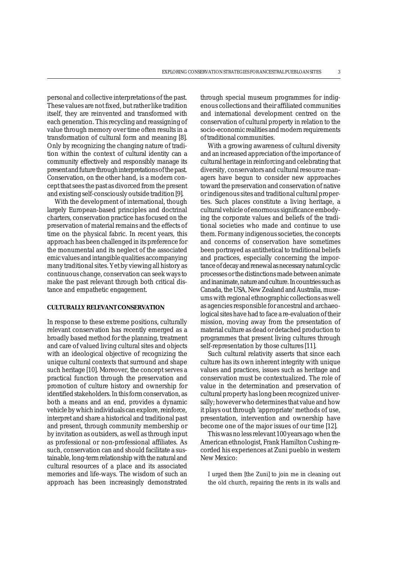personal and collective interpretations of the past. These values are not fixed, but rather like tradition itself, they are reinvented and transformed with each generation. This recycling and reassigning of value through memory over time often results in a transformation of cultural form and meaning [8]. Only by recognizing the changing nature of tradition within the context of cultural identity can a community effectively and responsibly manage its present and future through interpretations of the past. Conservation, on the other hand, is a modern concept that sees the past as divorced from the present and existing self-consciously outside tradition [9].

With the development of international, though largely European-based principles and doctrinal charters, conservation practice has focused on the preservation of material remains and the effects of time on the physical fabric. In recent years, this approach has been challenged in its preference for the monumental and its neglect of the associated emic values and intangible qualities accompanying many traditional sites. Yet by viewing all history as continuous change, conservation can seek ways to make the past relevant through both critical distance and empathetic engagement.

#### **CULTURALLY RELEVANT CONSERVATION**

In response to these extreme positions, culturally relevant conservation has recently emerged as a broadly based method for the planning, treatment and care of valued living cultural sites and objects with an ideological objective of recognizing the unique cultural contexts that surround and shape such heritage [10]. Moreover, the concept serves a practical function through the preservation and promotion of culture history and ownership for identified stakeholders. In this form conservation, as both a means and an end, provides a dynamic vehicle by which individuals can explore, reinforce, interpret and share a historical and traditional past and present, through community membership or by invitation as outsiders, as well as through input as professional or non-professional affiliates. As such, conservation can and should facilitate a sustainable, long-term relationship with the natural and cultural resources of a place and its associated memories and life-ways. The wisdom of such an approach has been increasingly demonstrated through special museum programmes for indigenous collections and their affiliated communities and international development centred on the conservation of cultural property in relation to the socio-economic realities and modern requirements of traditional communities.

With a growing awareness of cultural diversity and an increased appreciation of the importance of cultural heritage in reinforcing and celebrating that diversity, conservators and cultural resource managers have begun to consider new approaches toward the preservation and conservation of native or indigenous sites and traditional cultural properties. Such places constitute a living heritage, a cultural vehicle of enormous significance embodying the corporate values and beliefs of the traditional societies who made and continue to use them. For many indigenous societies, the concepts and concerns of conservation have sometimes been portrayed as antithetical to traditional beliefs and practices, especially concerning the importance of decay and renewal as necessary natural cyclic processes or the distinctions made between animate and inanimate, nature and culture. In countries such as Canada, the USA, New Zealand and Australia, museums with regional ethnographic collections as well as agencies responsible for ancestral and archaeological sites have had to face a re-evaluation of their mission, moving away from the presentation of material culture as dead or detached production to programmes that present living cultures through self-representation by those cultures [11].

Such cultural relativity asserts that since each culture has its own inherent integrity with unique values and practices, issues such as heritage and conservation must be contextualized. The role of value in the determination and preservation of cultural property has long been recognized universally; however who determines that value and how it plays out through 'appropriate' methods of use, presentation, intervention and ownership have become one of the major issues of our time [12].

This was no less relevant 100 years ago when the American ethnologist, Frank Hamilton Cushing recorded his experiences at Zuni pueblo in western New Mexico:

I urged them [the Zuni] to join me in cleaning out the old church, repairing the rents in its walls and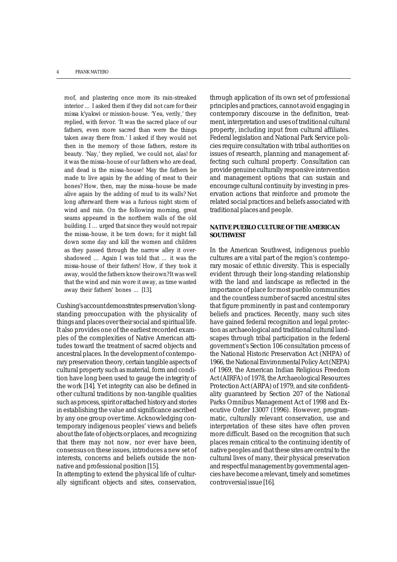roof, and plastering once more its rain-streaked interior … I asked them if they did not care for their *missa k'yakwi* or mission-house. 'Yea, verily,' they replied, with fervor. 'It was the sacred place of our fathers, even more sacred than were the things taken away there from.' I asked if they would not then in the memory of those fathers, restore its beauty. 'Nay,' they replied, 'we could not, alas! for it was the *missa*-house of our fathers who are dead, and dead is the *missa*-house! May the fathers be made to live again by the adding of meat to their bones? How, then, may the *missa*-house be made alive again by the adding of mud to its walls? Not long afterward there was a furious night storm of wind and rain. On the following morning, great seams appeared in the northern walls of the old building. I … urged that since they would not repair the *missa*-house, it be torn down; for it might fall down some day and kill the women and children as they passed through the narrow alley it overshadowed … Again I was told that … it was the *missa*-house of their fathers! How, if they took it away, would the fathers know their own? It was well that the wind and rain wore it away, as time wasted away their fathers' bones … [13].

Cushing's account demonstrates preservation's longstanding preoccupation with the physicality of things and places over their social and spiritual life. It also provides one of the earliest recorded examples of the complexities of Native American attitudes toward the treatment of sacred objects and ancestral places. In the development of contemporary preservation theory, certain tangible aspects of cultural property such as material, form and condition have long been used to gauge the *integrity* of the work [14]. Yet integrity can also be defined in other cultural traditions by non-tangible qualities such as process, spirit or attached history and stories in establishing the value and significance ascribed by any one group over time. Acknowledging contemporary indigenous peoples' views and beliefs about the fate of objects or places, and recognizing that there may not now, nor ever have been, consensus on these issues, introduces a new set of interests, concerns and beliefs outside the nonnative and professional position [15].

In attempting to extend the physical life of culturally significant objects and sites, conservation, through application of its own set of professional principles and practices, cannot avoid engaging in contemporary discourse in the definition, treatment, interpretation and uses of traditional cultural property, including input from cultural affiliates. Federal legislation and National Park Service policies require consultation with tribal authorities on issues of research, planning and management affecting such cultural property. Consultation can provide genuine culturally responsive intervention and management options that can sustain and encourage cultural continuity by investing in preservation actions that reinforce and promote the related social practices and beliefs associated with traditional places and people.

#### **NATIVE PUEBLO CULTURE OF THE AMERICAN SOUTHWEST**

In the American Southwest, indigenous pueblo cultures are a vital part of the region's contemporary mosaic of ethnic diversity. This is especially evident through their long-standing relationship with the land and landscape as reflected in the importance of place for most pueblo communities and the countless number of sacred ancestral sites that figure prominently in past and contemporary beliefs and practices. Recently, many such sites have gained federal recognition and legal protection as archaeological and traditional cultural landscapes through tribal participation in the federal government's Section 106 consultation process of the National Historic Preservation Act (NHPA) of 1966, the National Environmental Policy Act (NEPA) of 1969, the American Indian Religious Freedom Act (AIRFA) of 1978, the Archaeological Resources Protection Act (ARPA) of 1979, and site confidentiality guaranteed by Section 207 of the National Parks Omnibus Management Act of 1998 and Executive Order 13007 (1996). However, programmatic, culturally relevant conservation, use and interpretation of these sites have often proven more difficult. Based on the recognition that such places remain critical to the continuing identity of native peoples and that these sites are central to the cultural lives of many, their physical preservation and respectful management by governmental agencies have become a relevant, timely and sometimes controversial issue [16].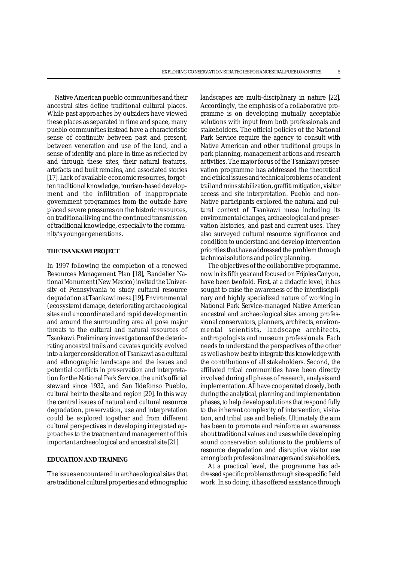Native American pueblo communities and their ancestral sites define traditional cultural places. While past approaches by outsiders have viewed these places as separated in time and space, many pueblo communities instead have a characteristic sense of continuity between past and present, between veneration and use of the land, and a sense of identity and place in time as reflected by and through these sites, their natural features, artefacts and built remains, and associated stories [17]. Lack of available economic resources, forgotten traditional knowledge, tourism-based development and the infiltration of inappropriate government programmes from the outside have placed severe pressures on the historic resources, on traditional living and the continued transmission of traditional knowledge, especially to the community's younger generations.

#### **THE TSANKAWI PROJECT**

In 1997 following the completion of a renewed Resources Management Plan [18], Bandelier National Monument (New Mexico) invited the University of Pennsylvania to study cultural resource degradation at Tsankawi mesa [19]. Environmental (ecosystem) damage, deteriorating archaeological sites and uncoordinated and rapid development in and around the surrounding area all pose major threats to the cultural and natural resources of Tsankawi. Preliminary investigations of the deteriorating ancestral trails and cavates quickly evolved into a larger consideration of Tsankawi as a cultural and ethnographic landscape and the issues and potential conflicts in preservation and interpretation for the National Park Service, the unit's official steward since 1932, and San Ildefonso Pueblo, cultural heir to the site and region [20]. In this way the central issues of natural and cultural resource degradation, preservation, use and interpretation could be explored together and from different cultural perspectives in developing integrated approaches to the treatment and management of this important archaeological and ancestral site [21].

#### **EDUCATION AND TRAINING**

The issues encountered in archaeological sites that are traditional cultural properties and ethnographic landscapes are multi-disciplinary in nature [22]. Accordingly, the emphasis of a collaborative programme is on developing mutually acceptable solutions with input from both professionals and stakeholders. The official policies of the National Park Service require the agency to consult with Native American and other traditional groups in park planning, management actions and research activities. The major focus of the Tsankawi preservation programme has addressed the theoretical and ethical issues and technical problems of ancient trail and ruins stabilization, graffiti mitigation, visitor access and site interpretation. Pueblo and non-Native participants explored the natural and cultural context of Tsankawi mesa including its environmental changes, archaeological and preservation histories, and past and current uses. They also surveyed cultural resource significance and condition to understand and develop intervention priorities that have addressed the problem through technical solutions and policy planning.

The objectives of the collaborative programme, now in its fifth year and focused on Frijoles Canyon, have been twofold. First, at a didactic level, it has sought to raise the awareness of the interdisciplinary and highly specialized nature of working in National Park Service-managed Native American ancestral and archaeological sites among professional conservators, planners, architects, environmental scientists, landscape architects, anthropologists and museum professionals. Each needs to understand the perspectives of the other as well as how best to integrate this knowledge with the contributions of all stakeholders. Second, the affiliated tribal communities have been directly involved during all phases of research, analysis and implementation. All have cooperated closely, both during the analytical, planning and implementation phases, to help develop solutions that respond fully to the inherent complexity of intervention, visitation, and tribal use and beliefs. Ultimately the aim has been to promote and reinforce an awareness about traditional values and uses while developing sound conservation solutions to the problems of resource degradation and disruptive visitor use among both professional managers and stakeholders.

At a practical level, the programme has addressed specific problems through site-specific field work. In so doing, it has offered assistance through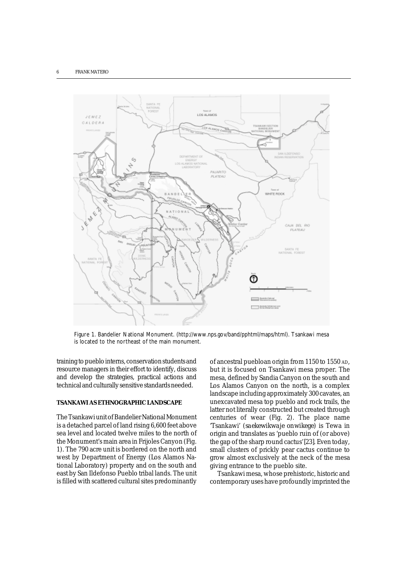

Figure 1. Bandelier National Monument. (http://www.nps.gov/band/pphtml/maps/html). Tsankawi mesa is located to the northeast of the main monument.

training to pueblo interns, conservation students and resource managers in their effort to identify, discuss and develop the strategies, practical actions and technical and culturally sensitive standards needed.

#### **TSANKAWI AS ETHNOGRAPHIC LANDSCAPE**

The Tsankawi unit of Bandelier National Monument is a detached parcel of land rising 6,600 feet above sea level and located twelve miles to the north of the Monument's main area in Frijoles Canyon (Fig. 1). The 790 acre unit is bordered on the north and west by Department of Energy (Los Alamos National Laboratory) property and on the south and east by San Ildefonso Pueblo tribal lands. The unit is filled with scattered cultural sites predominantly of ancestral puebloan origin from 1150 to 1550 AD, but it is focused on Tsankawi mesa proper. The mesa, defined by Sandia Canyon on the south and Los Alamos Canyon on the north, is a complex landscape including approximately 300 cavates, an unexcavated mesa top pueblo and rock trails, the latter not literally constructed but created through centuries of wear (Fig. 2). The place name 'Tsankawi' (*saekewikwaje onwikege*) is Tewa in origin and translates as 'pueblo ruin of (or above) the gap of the sharp round cactus'[23]. Even today, small clusters of prickly pear cactus continue to grow almost exclusively at the neck of the mesa giving entrance to the pueblo site.

Tsankawi mesa, whose prehistoric, historic and contemporary uses have profoundly imprinted the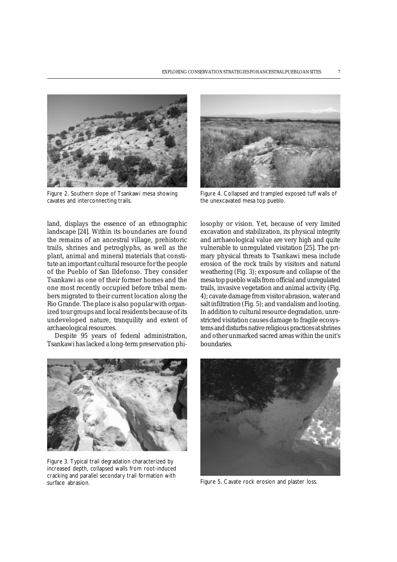

Figure 2. Southern slope of Tsankawi mesa showing cavates and interconnecting trails.

land, displays the essence of an ethnographic landscape [24]. Within its boundaries are found the remains of an ancestral village, prehistoric trails, shrines and petroglyphs, as well as the plant, animal and mineral materials that constitute an important cultural resource for the people of the Pueblo of San Ildefonso. They consider Tsankawi as one of their former homes and the one most recently occupied before tribal members migrated to their current location along the Rio Grande. The place is also popular with organized tour groups and local residents because of its undeveloped nature, tranquility and extent of archaeological resources.

Despite 95 years of federal administration, Tsankawi has lacked a long-term preservation phi-



Figure 3. Typical trail degradation characterized by increased depth, collapsed walls from root-induced cracking and parallel secondary trail formation with surface abrasion.



Figure 4. Collapsed and trampled exposed tuff walls of the unexcavated mesa top pueblo.

losophy or vision. Yet, because of very limited excavation and stabilization, its physical integrity and archaeological value are very high and quite vulnerable to unregulated visitation [25]. The primary physical threats to Tsankawi mesa include erosion of the rock trails by visitors and natural weathering (Fig. 3); exposure and collapse of the mesa top pueblo walls from official and unregulated trails, invasive vegetation and animal activity (Fig. 4); cavate damage from visitor abrasion, water and salt infiltration (Fig. 5); and vandalism and looting. In addition to cultural resource degradation, unrestricted visitation causes damage to fragile ecosystems and disturbs native religious practices at shrines and other unmarked sacred areas within the unit's boundaries.



Figure 5. Cavate rock erosion and plaster loss.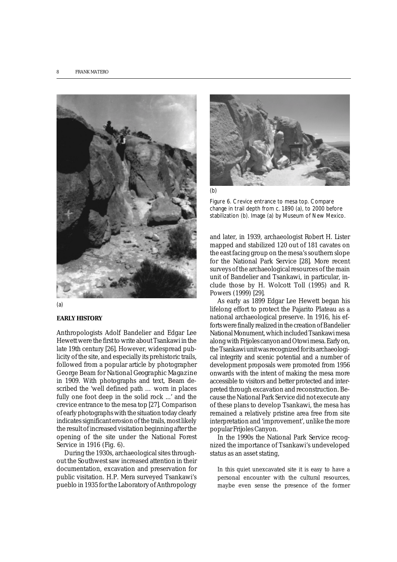



#### **EARLY HISTORY**

Anthropologists Adolf Bandelier and Edgar Lee Hewett were the first to write about Tsankawi in the late 19th century [26]. However, widespread publicity of the site, and especially its prehistoric trails, followed from a popular article by photographer George Beam for *National Geographic Magazine* in 1909. With photographs and text, Beam described the 'well defined path … worn in places fully one foot deep in the solid rock ...' and the crevice entrance to the mesa top [27]. Comparison of early photographs with the situation today clearly indicates significant erosion of the trails, most likely the result of increased visitation beginning after the opening of the site under the National Forest Service in 1916 (Fig. 6).

During the 1930s, archaeological sites throughout the Southwest saw increased attention in their documentation, excavation and preservation for public visitation. H.P. Mera surveyed Tsankawi's pueblo in 1935 for the Laboratory of Anthropology



Figure 6. Crevice entrance to mesa top. Compare change in trail depth from c. 1890 (a), to 2000 before stabilization (b). Image (a) by Museum of New Mexico.

and later, in 1939, archaeologist Robert H. Lister mapped and stabilized 120 out of 181 cavates on the east facing group on the mesa's southern slope for the National Park Service [28]. More recent surveys of the archaeological resources of the main unit of Bandelier and Tsankawi, in particular, include those by H. Wolcott Toll (1995) and R. Powers (1999) [29].

As early as 1899 Edgar Lee Hewett began his lifelong effort to protect the Pajarito Plateau as a national archaeological preserve. In 1916, his efforts were finally realized in the creation of Bandelier National Monument, which included Tsankawi mesa along with Frijoles canyon and Otowi mesa. Early on, the Tsankawi unit was recognized for its archaeological integrity and scenic potential and a number of development proposals were promoted from 1956 onwards with the intent of making the mesa more accessible to visitors and better protected and interpreted through excavation and reconstruction. Because the National Park Service did not execute any of these plans to develop Tsankawi, the mesa has remained a relatively pristine area free from site interpretation and 'improvement', unlike the more popular Frijoles Canyon.

In the 1990s the National Park Service recognized the importance of Tsankawi's undeveloped status as an asset stating,

In this quiet unexcavated site it is easy to have a personal encounter with the cultural resources, maybe even sense the presence of the former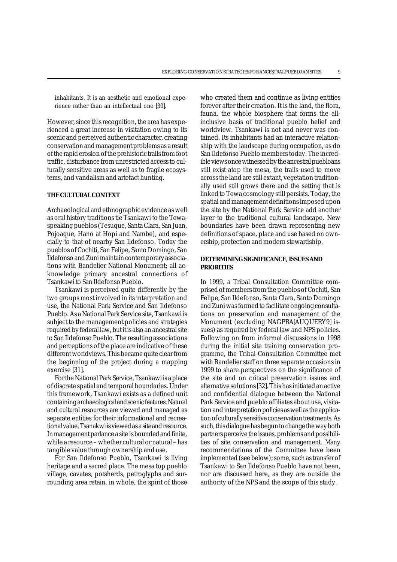inhabitants. It is an aesthetic and emotional experience rather than an intellectual one [30].

However, since this recognition, the area has experienced a great increase in visitation owing to its scenic and perceived authentic character, creating conservation and management problems as a result of the rapid erosion of the prehistoric trails from foot traffic, disturbance from unrestricted access to culturally sensitive areas as well as to fragile ecosystems, and vandalism and artefact hunting.

#### **THE CULTURAL CONTEXT**

Archaeological and ethnographic evidence as well as oral history traditions tie Tsankawi to the Tewaspeaking pueblos (Tesuque, Santa Clara, San Juan, Pojoaque, Hano at Hopi and Nambe), and especially to that of nearby San Ildefonso. Today the pueblos of Cochiti, San Felipe, Santo Domingo, San Ildefonso and Zuni maintain contemporary associations with Bandelier National Monument; all acknowledge primary ancestral connections of Tsankawi to San Ildefonso Pueblo.

Tsankawi is perceived quite differently by the two groups most involved in its interpretation and use, the National Park Service and San Ildefonso Pueblo. As a National Park Service site, Tsankawi is subject to the management policies and strategies required by federal law, but it is also an ancestral site to San Ildefonso Pueblo. The resulting associations and perceptions of the place are indicative of these different worldviews. This became quite clear from the beginning of the project during a mapping exercise [31].

For the National Park Service, Tsankawi is a place of discrete spatial and temporal boundaries. Under this framework, Tsankawi exists as a defined unit containing archaeological and scenic features. Natural and cultural resources are viewed and managed as separate entities for their informational and recreational value. Tsanakwi is viewed as a *site* and *resource*. In management parlance a site is bounded and finite, while a resource – whether cultural or natural – has tangible value through ownership and use.

For San Ildefonso Pueblo, Tsankawi is living heritage and a sacred place. The mesa top pueblo village, cavates, potsherds, petroglyphs and surrounding area retain, in whole, the spirit of those

who created them and continue as living entities forever after their creation. It is the land, the flora, fauna, the whole biosphere that forms the allinclusive basis of traditional pueblo belief and worldview. Tsankawi is not and never was contained. Its inhabitants had an interactive relationship with the landscape during occupation, as do San Ildefonso Pueblo members today. The incredible views once witnessed by the ancestral puebloans still exist atop the mesa, the trails used to move across the land are still extant, vegetation traditionally used still grows there and the setting that is linked to Tewa cosmology still persists. Today, the spatial and management definitions imposed upon the site by the National Park Service add another layer to the traditional cultural landscape. New boundaries have been drawn representing new definitions of space, place and use based on ownership, protection and modern stewardship.

#### **DETERMINING SIGNIFICANCE, ISSUES AND PRIORITIES**

In 1999, a Tribal Consultation Committee comprised of members from the pueblos of Cochiti, San Felipe, San Ildefonso, Santa Clara, Santo Domingo and Zuni was formed to facilitate ongoing consultations on preservation and management of the Monument (excluding NAGPRA[AUQUERY9] issues) as required by federal law and NPS policies. Following on from informal discussions in 1998 during the initial site training conservation programme, the Tribal Consultation Committee met with Bandelier staff on three separate occasions in 1999 to share perspectives on the significance of the site and on critical preservation issues and alternative solutions [32]. This has initiated an active and confidential dialogue between the National Park Service and pueblo affiliates about use, visitation and interpretation policies as well as the application of culturally sensitive conservation treatments. As such, this dialogue has begun to change the way both partners perceive the issues, problems and possibilities of site conservation and management. Many recommendations of the Committee have been implemented (see below); some, such as transfer of Tsankawi to San Ildefonso Pueblo have not been, nor are discussed here, as they are outside the authority of the NPS and the scope of this study.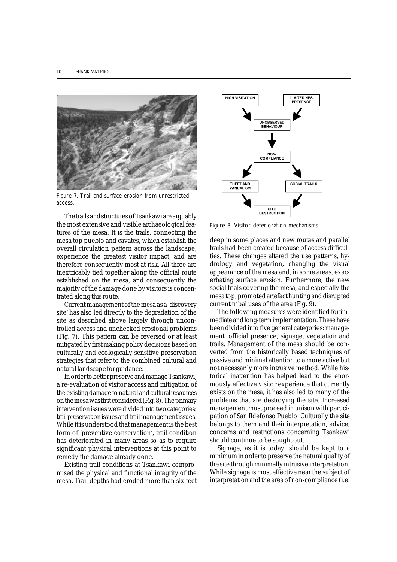

Figure 7. Trail and surface erosion from unrestricted access.

The trails and structures of Tsankawi are arguably the most extensive and visible archaeological features of the mesa. It is the trails, connecting the mesa top pueblo and cavates, which establish the overall circulation pattern across the landscape, experience the greatest visitor impact, and are therefore consequently most at risk. All three are inextricably tied together along the official route established on the mesa, and consequently the majority of the damage done by visitors is concentrated along this route.

Current management of the mesa as a 'discovery site' has also led directly to the degradation of the site as described above largely through uncontrolled access and unchecked erosional problems (Fig. 7). This pattern can be reversed or at least mitigated by first making policy decisions based on culturally and ecologically sensitive preservation strategies that refer to the combined cultural and natural landscape for guidance.

In order to better preserve and manage Tsankawi, a re-evaluation of visitor access and mitigation of the existing damage to natural and cultural resources on the mesa was first considered (Fig. 8). The primary intervention issues were divided into two categories: trail preservation issues and trail management issues. While it is understood that management is the best form of 'preventive conservation', trail condition has deteriorated in many areas so as to require significant physical interventions at this point to remedy the damage already done.

Existing trail conditions at Tsankawi compromised the physical and functional integrity of the mesa. Trail depths had eroded more than six feet



Figure 8. Visitor deterioration mechanisms.

deep in some places and new routes and parallel trails had been created because of access difficulties. These changes altered the use patterns, hydrology and vegetation, changing the visual appearance of the mesa and, in some areas, exacerbating surface erosion. Furthermore, the new social trials covering the mesa, and especially the mesa top, promoted artefact hunting and disrupted current tribal uses of the area (Fig. 9).

The following measures were identified for immediate and long-term implementation. These have been divided into five general categories: management, official presence, signage, vegetation and trails. Management of the mesa should be converted from the historically based techniques of passive and minimal attention to a more active but not necessarily more intrusive method. While historical inattention has helped lead to the enormously effective visitor experience that currently exists on the mesa, it has also led to many of the problems that are destroying the site. Increased management must proceed in unison with participation of San Ildefonso Pueblo. Culturally the site belongs to them and their interpretation, advice, concerns and restrictions concerning Tsankawi should continue to be sought out.

Signage, as it is today, should be kept to a minimum in order to preserve the natural quality of the site through minimally intrusive interpretation. While signage is most effective near the subject of interpretation and the area of non-compliance (i.e.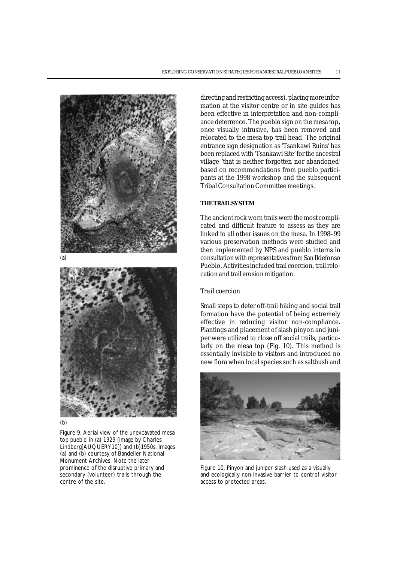

(b)

Figure 9. Aerial view of the unexcavated mesa top pueblo in (a) 1929 (image by Charles Lindberg[AUQUERY10]) and (b)1950s. Images (a) and (b) courtesy of Bandelier National Monument Archives. Note the later prominence of the disruptive primary and secondary (volunteer) trails through the centre of the site.

directing and restricting access), placing more information at the visitor centre or in site guides has been effective in interpretation and non-compliance deterrence. The pueblo sign on the mesa top, once visually intrusive, has been removed and relocated to the mesa top trail head. The original entrance sign designation as 'Tsankawi Ruins' has been replaced with 'Tsankawi Site' for the ancestral village 'that is neither forgotten nor abandoned' based on recommendations from pueblo participants at the 1998 workshop and the subsequent Tribal Consultation Committee meetings.

## **THE TRAIL SYSTEM**

The ancient rock worn trails were the most complicated and difficult feature to assess as they are linked to all other issues on the mesa. In 1998–99 various preservation methods were studied and then implemented by NPS and pueblo interns in consultation with representatives from San Ildefonso Pueblo. Activities included trail coercion, trail relocation and trail erosion mitigation.

#### *Trail coercion*

Small steps to deter off-trail hiking and social trail formation have the potential of being extremely effective in reducing visitor non-compliance. Plantings and placement of slash pinyon and juniper were utilized to close off social trails, particularly on the mesa top (Fig. 10). This method is essentially invisible to visitors and introduced no new flora when local species such as saltbush and



Figure 10. Pinyon and juniper slash used as a visually and ecologically non-invasive barrier to control visitor access to protected areas.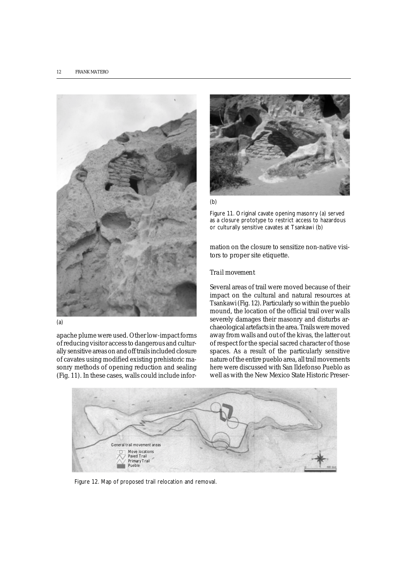

#### (a)

apache plume were used. Other low-impact forms of reducing visitor access to dangerous and culturally sensitive areas on and off trails included closure of cavates using modified existing prehistoric masonry methods of opening reduction and sealing (Fig. 11). In these cases, walls could include infor-





Figure 11. Original cavate opening masonry (a) served as a closure prototype to restrict access to hazardous or culturally sensitive cavates at Tsankawi (b)

mation on the closure to sensitize non-native visitors to proper site etiquette.

### *Trail movement*

Several areas of trail were moved because of their impact on the cultural and natural resources at Tsankawi (Fig. 12). Particularly so within the pueblo mound, the location of the official trail over walls severely damages their masonry and disturbs archaeological artefacts in the area. Trails were moved away from walls and out of the kivas, the latter out of respect for the special sacred character of those spaces. As a result of the particularly sensitive nature of the entire pueblo area, all trail movements here were discussed with San Ildefonso Pueblo as well as with the New Mexico State Historic Preser-



Figure 12. Map of proposed trail relocation and removal.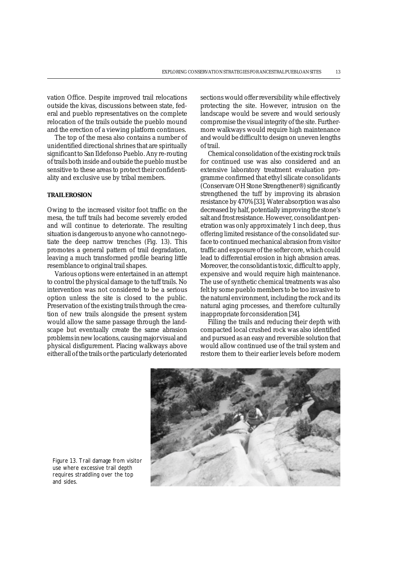vation Office. Despite improved trail relocations outside the kivas, discussions between state, federal and pueblo representatives on the complete relocation of the trails outside the pueblo mound and the erection of a viewing platform continues.

The top of the mesa also contains a number of unidentified directional shrines that are spiritually significant to San Ildefonso Pueblo. Any re-routing of trails both inside and outside the pueblo must be sensitive to these areas to protect their confidentiality and exclusive use by tribal members.

#### **TRAIL EROSION**

Owing to the increased visitor foot traffic on the mesa, the tuff trails had become severely eroded and will continue to deteriorate. The resulting situation is dangerous to anyone who cannot negotiate the deep narrow trenches (Fig. 13). This promotes a general pattern of trail degradation, leaving a much transformed profile bearing little resemblance to original trail shapes.

Various options were entertained in an attempt to control the physical damage to the tuff trails. No intervention was not considered to be a serious option unless the site is closed to the public. Preservation of the existing trails through the creation of new trails alongside the present system would allow the same passage through the landscape but eventually create the same abrasion problems in new locations, causing major visual and physical disfigurement. Placing walkways above either all of the trails or the particularly deteriorated sections would offer reversibility while effectively protecting the site. However, intrusion on the landscape would be severe and would seriously compromise the visual integrity of the site. Furthermore walkways would require high maintenance and would be difficult to design on uneven lengths of trail.

Chemical consolidation of the existing rock trails for continued use was also considered and an extensive laboratory treatment evaluation programme confirmed that ethyl silicate consolidants (Conservare OH Stone Strengthener®) significantly strengthened the tuff by improving its abrasion resistance by 470% [33]. Water absorption was also decreased by half, potentially improving the stone's salt and frost resistance. However, consolidant penetration was only approximately 1 inch deep, thus offering limited resistance of the consolidated surface to continued mechanical abrasion from visitor traffic and exposure of the softer core, which could lead to differential erosion in high abrasion areas. Moreover, the consolidant is toxic, difficult to apply, expensive and would require high maintenance. The use of synthetic chemical treatments was also felt by some pueblo members to be too invasive to the natural environment, including the rock and its natural aging processes, and therefore culturally inappropriate for consideration [34].

Filling the trails and reducing their depth with compacted local crushed rock was also identified and pursued as an easy and reversible solution that would allow continued use of the trail system and restore them to their earlier levels before modern



Figure 13. Trail damage from visitor use where excessive trail depth requires straddling over the top and sides.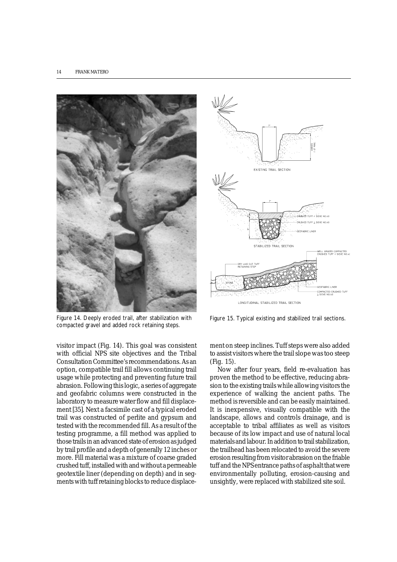

Figure 14. Deeply eroded trail, after stabilization with compacted gravel and added rock retaining steps.

visitor impact (Fig. 14). This goal was consistent with official NPS site objectives and the Tribal Consultation Committee's recommendations. As an option, compatible trail fill allows continuing trail usage while protecting and preventing future trail abrasion. Following this logic, a series of aggregate and geofabric columns were constructed in the laboratory to measure water flow and fill displacement [35]. Next a facsimile cast of a typical eroded trail was constructed of perlite and gypsum and tested with the recommended fill. As a result of the testing programme, a fill method was applied to those trails in an advanced state of erosion as judged by trail profile and a depth of generally 12 inches or more. Fill material was a mixture of coarse graded crushed tuff, installed with and without a permeable geotextile liner (depending on depth) and in segments with tuff retaining blocks to reduce displace-



Figure 15. Typical existing and stabilized trail sections.

ment on steep inclines. Tuff steps were also added to assist visitors where the trail slope was too steep (Fig. 15).

Now after four years, field re-evaluation has proven the method to be effective, reducing abrasion to the existing trails while allowing visitors the experience of walking the ancient paths. The method is reversible and can be easily maintained. It is inexpensive, visually compatible with the landscape, allows and controls drainage, and is acceptable to tribal affiliates as well as visitors because of its low impact and use of natural local materials and labour. In addition to trail stabilization, the trailhead has been relocated to avoid the severe erosion resulting from visitor abrasion on the friable tuff and the NPS entrance paths of asphalt that were environmentally polluting, erosion-causing and unsightly, were replaced with stabilized site soil.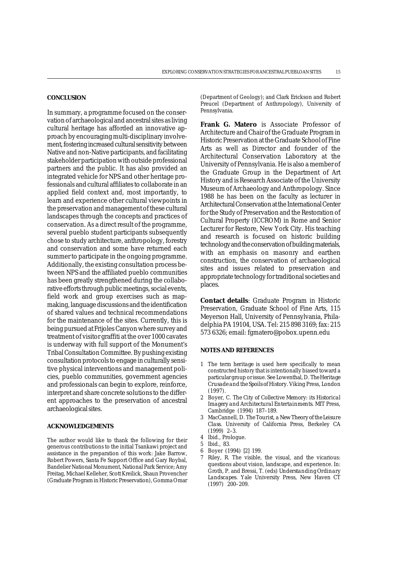#### **CONCLUSION**

In summary, a programme focused on the conservation of archaeological and ancestral sites as living cultural heritage has afforded an innovative approach by encouraging multi-disciplinary involvement, fostering increased cultural sensitivity between Native and non-Native participants, and facilitating stakeholder participation with outside professional partners and the public. It has also provided an integrated vehicle for NPS and other heritage professionals and cultural affiliates to collaborate in an applied field context and, most importantly, to learn and experience other cultural viewpoints in the preservation and management of these cultural landscapes through the concepts and practices of conservation. As a direct result of the programme, several pueblo student participants subsequently chose to study architecture, anthropology, forestry and conservation and some have returned each summer to participate in the ongoing programme. Additionally, the existing consultation process between NPS and the affiliated pueblo communities has been greatly strengthened during the collaborative efforts through public meetings, social events, field work and group exercises such as mapmaking, language discussions and the identification of shared values and technical recommendations for the maintenance of the sites. Currently, this is being pursued at Frijoles Canyon where survey and treatment of visitor graffiti at the over 1000 cavates is underway with full support of the Monument's Tribal Consultation Committee. By pushing existing consultation protocols to engage in culturally sensitive physical interventions and management policies, pueblo communities, government agencies and professionals can begin to explore, reinforce, interpret and share concrete solutions to the different approaches to the preservation of ancestral archaeological sites.

#### **ACKNOWLEDGEMENTS**

The author would like to thank the following for their generous contributions to the initial Tsankawi project and assistance in the preparation of this work: Jake Barrow, Robert Powers, Santa Fe Support Office and Gary Roybal, Bandelier National Monument, National Park Service; Amy Freitag, Michael Kelleher, Scott Kreilick, Shaun Provencher (Graduate Program in Historic Preservation), Gomma Omar

(Department of Geology); and Clark Erickson and Robert Preucel (Department of Anthropology), University of Pennsylvania.

**Frank G. Matero** is Associate Professor of Architecture and Chair of the Graduate Program in Historic Preservation at the Graduate School of Fine Arts as well as Director and founder of the Architectural Conservation Laboratory at the University of Pennsylvania. He is also a member of the Graduate Group in the Department of Art History and is Research Associate of the University Museum of Archaeology and Anthropology. Since 1988 he has been on the faculty as lecturer in Architectural Conservation at the International Center for the Study of Preservation and the Restoration of Cultural Property (ICCROM) in Rome and Senior Lecturer for Restore, New York City. His teaching and research is focused on historic building technology and the conservation of building materials, with an emphasis on masonry and earthen construction, the conservation of archaeological sites and issues related to preservation and appropriate technology for traditional societies and places.

**Contact details**: Graduate Program in Historic Preservation, Graduate School of Fine Arts, 115 Meyerson Hall, University of Pennsylvania, Philadelphia PA 19104, USA. Tel: 215 898 3169; fax: 215 573 6326; email: fgmatero@pobox.upenn.edu

#### **NOTES AND REFERENCES**

- 1 The term *heritage* is used here specifically to mean constructed history that is intentionally biased toward a particular group or issue. See Lowenthal, D. *The Heritage Crusade and the Spoils of History*. Viking Press, London (1997).
- 2 Boyer, C. *The City of Collective Memory: its Historical Imagery and Architectural Entertainments*. MIT Press, Cambridge (1994) 187–189.
- 3 MacCannell, D. *The Tourist, a New Theory of the Leisure Class*. University of California Press, Berkeley CA (1999) 2–3.
- 4 Ibid., Prologue.
- 5 Ibid., 83.
- 6 Boyer (1994) [2] 199.
- 7 Riley, R. The visible, the visual, and the vicarious: questions about vision, landscape, and experience. In: Groth, P. and Bressi, T. (eds) *Understanding Ordinary Landscapes*. Yale University Press, New Haven CT (1997) 200–209.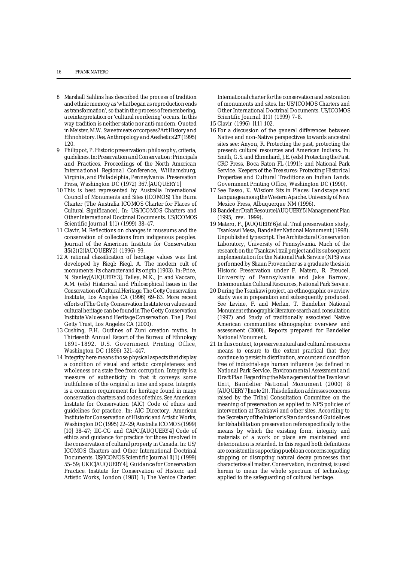- 8 Marshall Sahlins has described the process of tradition and ethnic memory as 'what began as reproduction ends as transformation', so that in the process of remembering, a reinterpretation or 'cultural reordering' occurs. In this way tradition is neither static nor anti-modern. Quoted in Meister, M.W. Sweetmeats or corpses? *Art History and Ethnohistory.Res, Anthropology and Aesthetics* **27** (1995) 120.
- 9 Philippot, P. Historic preservation: philosophy, criteria, guidelines. In: *Preservation and Conservation: Principals and Practices, Proceedings of the North American International Regional Conference, Williamsburg, Virginia, and Philadelphia, Pennsylvania*. Preservation Press, Washington DC (1972) 367.[AUQUERY1]
- 10 This is best represented by Australia International Council of Monuments and Sites (ICOMOS) The Burra Charter (The Australia ICOMOS Charter for Places of Cultural Significance). In: US/ICOMOS Charters and Other International Doctrinal Documents. *US/ICOMOS Scientific Journal* **1**(1) (1999) 38–47.
- 11 Clavir, M. Reflections on changes in museums and the conservation of collections from indigenous peoples. *Journal of the American Institute for Conservation* **35**(2)(2)[AUQUERY2] (1996) 99.
- 12 A rational classification of heritage values was first developed by Riegl: Riegl, A. The modern cult of monuments: its character and its origin (1903).In: Price, N. Stanley[AUQUERY3], Talley, M.K., Jr. and Vaccaro, A.M. (eds) *Historical and Philosophical Issues in the Conservation of Cultural Heritage*. The Getty Conservation Institute, Los Angeles CA (1996) 69–83. More recent efforts of The Getty Conservation Institute on values and cultural heritage can be found in The Getty Conservation Institute *Values and Heritage Conservation*. The J. Paul Getty Trust, Los Angeles CA (2000).
- 13 Cushing, F.H. Outlines of Zuni creation myths. In *Thirteenth Annual Report of the Bureau of Ethnology 1891–1892*. U.S. Government Printing Office, Washington DC (1896) 321–447.
- 14 Integrity here means those physical aspects that display a condition of visual and artistic completeness and wholeness or a state free from corruption. Integrity is a measure of authenticity in that it conveys some truthfulness of the original in time and space. Integrity is a common requirement for heritage found in many conservation charters and codes of ethics. See American Institute for Conservation (AIC) Code of ethics and guidelines for practice. In: *AIC Directory*. American Institute for Conservation of Historic and Artistic Works, Washington DC (1995) 22–29; Australia ICOMOS (1999) [10] 38-47; IIC-CG and CAPC.[AUQUERY4] Code of ethics and guidance for practice for those involved in the conservation of cultural property in Canada. In: US/ ICOMOS Charters and Other International Doctrinal Documents. *US/ICOMOS Scientific Journal* **1**(1) (1999) 55–59; UKIC[AUQUERY4]; *Guidance for Conservation Practice*. Institute for Conservation of Historic and Artistic Works, London (1981) 1; The Venice Charter.

International charter for the conservation and restoration of monuments and sites. In: US/ICOMOS Charters and Other International Doctrinal Documents. *US/ICOMOS Scientific Journal* **1**(1) (1999) 7–8.

- 15 Clavir (1996) [11] 102.
- 16 For a discussion of the general differences between Native and non-Native perspectives towards ancestral sites see: Anyon, R. Protecting the past, protecting the present: cultural resources and American Indians. In: Smith, G.S. and Ehrenhard, J.E. (eds) *Protecting the Past*. CRC Press, Boca Raton FL (1991); and National Park Service. *Keepers of the Treasures: Protecting Historical Properties and Cultural Traditions on Indian Lands*. Government Printing Office, Washington DC (1990).
- 17 See Basso, K. *Wisdom Sits in Places: Landscape and Language among the Western Apache*.University of New Mexico Press, Albuquerque NM (1996).
- 18 Bandelier Draft Resource[AUQUERY5] Management Plan (1995; rev. 1999).
- 19 Matero, F., [AUQUERY6]et al. Trail preservation study, Tsankawi Mesa, Bandelier National Monument (1998). Unpublished typescript. The Architectural Conservation Laboratory, University of Pennsylvania. Much of the research on the Tsankawi trail project and its subsequent implementation for the National Park Service (NPS) was performed by Shaun Provencher as a graduate thesis in Historic Preservation under F. Matero, R. Preucel, University of Pennsylvania and Jake Barrow, Intermountain Cultural Resources, National Park Service.
- 20 During the Tsankawi project, an ethnographic overview study was in preparation and subsequently produced. See Levine, F. and Merlan, T. Bandelier National Monument ethnographic literature search and consultation (1997) and Study of traditionally associated Native American communities ethnographic overview and assessment (2000). Reports prepared for Bandelier National Monument.
- 21 In this context, *to preserve* natural and cultural resources means to ensure to the extent practical that they continue to persist in distribution, amount and condition free of industrial-age human influence (as defined in National Park Service. *Environmental Assessment and Draft Plan Regarding the Management of the Tsankawi Unit, Bandelier National Monument* (2000) 8 [AUQUERY7](note 2)). This definition addresses concerns raised by the Tribal Consultation Committee on the meaning of *preservation* as applied to NPS policies of intervention at Tsankawi and other sites. According to the *Secretary of the Interior's Standards and Guidelines for Rehabilitation* preservation refers specifically to the means by which the existing form, integrity and materials of a work or place are maintained and deterioration is retarded. In this regard both definitions are consistent in supporting puebloan concerns regarding stopping or disrupting natural decay processes that characterize all matter. Conservation, in contrast, is used herein to mean the whole spectrum of technology applied to the safeguarding of cultural heritage.